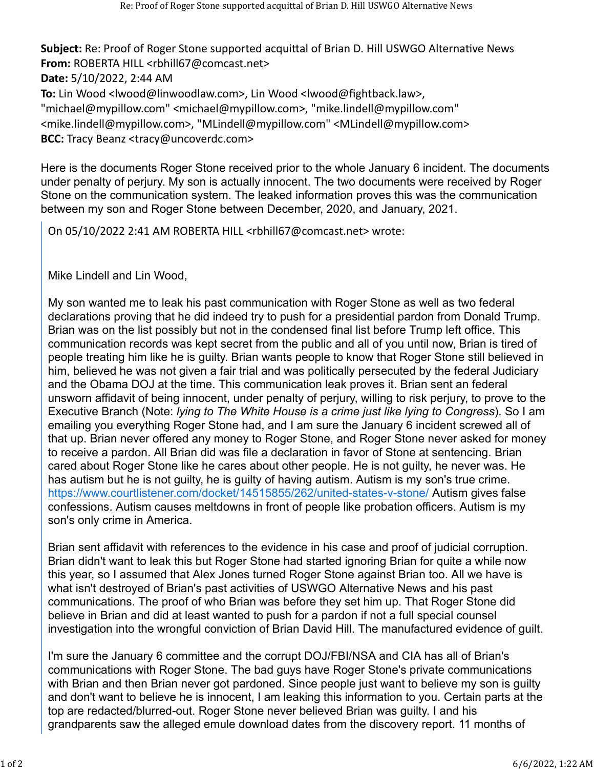**Subject:** Re: Proof of Roger Stone supported acquittal of Brian D. Hill USWGO Alternative News **From:** ROBERTA HILL <rbhill67@comcast.net> **Date:** 5/10/2022, 2:44 AM **To:** Lin Wood <lwood@linwoodlaw.com>, Lin Wood <lwood@fightback.law>, "michael@mypillow.com" <michael@mypillow.com>, "mike.lindell@mypillow.com" <mike.lindell@mypillow.com>, "MLindell@mypillow.com" <MLindell@mypillow.com> **BCC:** Tracy Beanz <tracy@uncoverdc.com>

Here is the documents Roger Stone received prior to the whole January 6 incident. The documents under penalty of perjury. My son is actually innocent. The two documents were received by Roger Stone on the communication system. The leaked information proves this was the communication between my son and Roger Stone between December, 2020, and January, 2021.

On 05/10/2022 2:41 AM ROBERTA HILL <rbhill67@comcast.net> wrote:

Mike Lindell and Lin Wood,

My son wanted me to leak his past communication with Roger Stone as well as two federal declarations proving that he did indeed try to push for a presidential pardon from Donald Trump. Brian was on the list possibly but not in the condensed final list before Trump left office. This communication records was kept secret from the public and all of you until now, Brian is tired of people treating him like he is guilty. Brian wants people to know that Roger Stone still believed in him, believed he was not given a fair trial and was politically persecuted by the federal Judiciary and the Obama DOJ at the time. This communication leak proves it. Brian sent an federal unsworn affidavit of being innocent, under penalty of perjury, willing to risk perjury, to prove to the Executive Branch (Note: *lying to The White House is a crime just like lying to Congress*). So I am emailing you everything Roger Stone had, and I am sure the January 6 incident screwed all of that up. Brian never offered any money to Roger Stone, and Roger Stone never asked for money to receive a pardon. All Brian did was file a declaration in favor of Stone at sentencing. Brian cared about Roger Stone like he cares about other people. He is not guilty, he never was. He has autism but he is not guilty, he is guilty of having autism. Autism is my son's true crime. <https://www.courtlistener.com/docket/14515855/262/united-states-v-stone/>Autism gives false confessions. Autism causes meltdowns in front of people like probation officers. Autism is my son's only crime in America.

Brian sent affidavit with references to the evidence in his case and proof of judicial corruption. Brian didn't want to leak this but Roger Stone had started ignoring Brian for quite a while now this year, so I assumed that Alex Jones turned Roger Stone against Brian too. All we have is what isn't destroyed of Brian's past activities of USWGO Alternative News and his past communications. The proof of who Brian was before they set him up. That Roger Stone did believe in Brian and did at least wanted to push for a pardon if not a full special counsel investigation into the wrongful conviction of Brian David Hill. The manufactured evidence of guilt.

I'm sure the January 6 committee and the corrupt DOJ/FBI/NSA and CIA has all of Brian's communications with Roger Stone. The bad guys have Roger Stone's private communications with Brian and then Brian never got pardoned. Since people just want to believe my son is guilty and don't want to believe he is innocent, I am leaking this information to you. Certain parts at the top are redacted/blurred-out. Roger Stone never believed Brian was guilty. I and his grandparents saw the alleged emule download dates from the discovery report. 11 months of